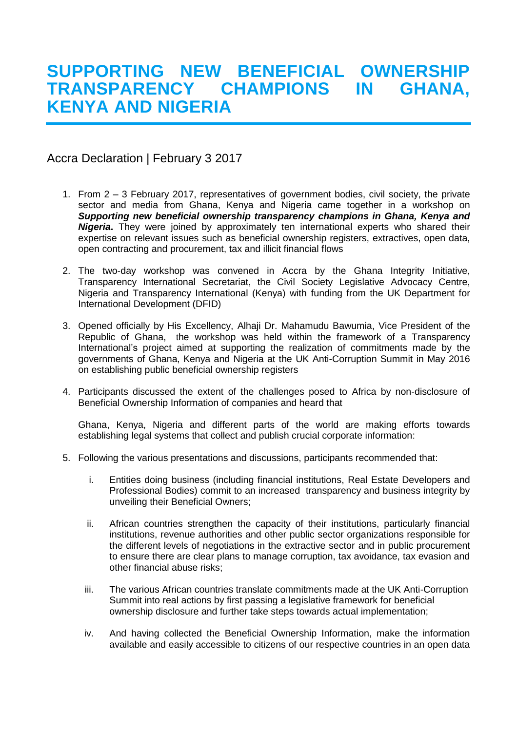## **SUPPORTING NEW BENEFICIAL OWNERSHIP TRANSPARENCY CHAMPIONS IN GHANA, KENYA AND NIGERIA**

Accra Declaration | February 3 2017

- 1. From 2 3 February 2017, representatives of government bodies, civil society, the private sector and media from Ghana, Kenya and Nigeria came together in a workshop on *Supporting new beneficial ownership transparency champions in Ghana, Kenya and Nigeria***.** They were joined by approximately ten international experts who shared their expertise on relevant issues such as beneficial ownership registers, extractives, open data, open contracting and procurement, tax and illicit financial flows
- 2. The two-day workshop was convened in Accra by the Ghana Integrity Initiative, Transparency International Secretariat, the Civil Society Legislative Advocacy Centre, Nigeria and Transparency International (Kenya) with funding from the UK Department for International Development (DFID)
- 3. Opened officially by His Excellency, Alhaji Dr. Mahamudu Bawumia, Vice President of the Republic of Ghana, the workshop was held within the framework of a Transparency International's project aimed at supporting the realization of commitments made by the governments of Ghana, Kenya and Nigeria at the UK Anti-Corruption Summit in May 2016 on establishing public beneficial ownership registers
- 4. Participants discussed the extent of the challenges posed to Africa by non-disclosure of Beneficial Ownership Information of companies and heard that

Ghana, Kenya, Nigeria and different parts of the world are making efforts towards establishing legal systems that collect and publish crucial corporate information:

- 5. Following the various presentations and discussions, participants recommended that:
	- i. Entities doing business (including financial institutions, Real Estate Developers and Professional Bodies) commit to an increased transparency and business integrity by unveiling their Beneficial Owners;
	- ii. African countries strengthen the capacity of their institutions, particularly financial institutions, revenue authorities and other public sector organizations responsible for the different levels of negotiations in the extractive sector and in public procurement to ensure there are clear plans to manage corruption, tax avoidance, tax evasion and other financial abuse risks;
	- iii. The various African countries translate commitments made at the UK Anti-Corruption Summit into real actions by first passing a legislative framework for beneficial ownership disclosure and further take steps towards actual implementation;
	- iv. And having collected the Beneficial Ownership Information, make the information available and easily accessible to citizens of our respective countries in an open data